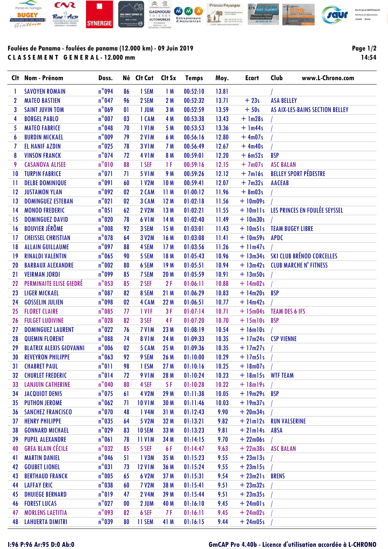

## **Foulées de Panama - foulées de panama (12.000 km) - 09 Juin 2019 C L A S S E M E N T G E N E R A L - 12.000 mm**

**Page 1/2 14:54**

| Clt             | Nom - Prénom                   | Doss.                  |              | Né Clt Cat         | Clt Sx          | <b>Temps</b> | Moy.  | <b>Ecart</b>  | Club                    | www.L-Chrono.com                 |
|-----------------|--------------------------------|------------------------|--------------|--------------------|-----------------|--------------|-------|---------------|-------------------------|----------------------------------|
| 1               | <b>SAVOYEN ROMAIN</b>          | $n^{\circ}094$         | 86           | 1 SEM              | 1M              | 00:52:10     | 13.81 |               |                         |                                  |
| 2               | <b>MATEO BASTIEN</b>           | $n^{\circ}$ 047        | 96           | 2 SEM              | 2 M             | 00:52:32     | 13.71 | $+23s$        | <b>ASA BELLEY</b>       |                                  |
| 3               | <b>SAINT JUVIN TOM</b>         | $n^{\circ}$ 069        | $\mathbf{0}$ | 1 JUM              | 3M              | 00:52:59     | 13.59 | $+50s$        |                         | AS AIX-LES-BAINS SECTION BELLEY  |
| 4               | <b>BORGEL PABLO</b>            | $n^{\circ}$ 007        | 03           | 1 CAM              | 4 M             | 00:53:38     | 13.43 | $+$ 1m28s     |                         |                                  |
| 5               | <b>MATEO FABRICE</b>           | $n^{\circ}048$         | 70           | 1 V <sub>1</sub> M | 5 M             | 00:53:53     | 13.36 | $+$ 1m44s     |                         |                                  |
| 6               | <b>BURDIN MICKAEL</b>          | $n^{\circ}$ 009        | 79           | <b>2 V1M</b>       | 6 M             | 00:56:16     | 12.80 | $+4m07s$      |                         |                                  |
| 7               | <b>EL HANIF AZDIN</b>          | $n^{\circ}$ 025        | 78           | <b>3 V1M</b>       | 7 M             | 00:56:49     | 12.67 | $+4m40s$      |                         |                                  |
| 8               | <b>VINSON FRANCK</b>           | $n^{\circ}$ 074        | 72           | <b>4 V1M</b>       | 8 M             | 00:59:01     | 12.20 | $+6m52s$      | <b>BSP</b>              |                                  |
| 9               | <b>CASANOVA ALISEE</b>         | $n^{\circ}010$         | 88           | 1 SEF              | 1 F             | 00:59:16     | 12.15 | $+7m07s$      | <b>ASC BALAN</b>        |                                  |
| 10              | <b>TURPIN FABRICE</b>          | $n^{\circ}071$         | 71           | <b>5 V1M</b>       | 9 M             | 00:59:26     | 12.12 | $+7ml6s$      |                         | <b>BELLEY SPORT PÉDESTRE</b>     |
| -11             | <b>DELBE DOMINIQUE</b>         | $n^{\circ}091$         | 60           | 1 V2M              | 10 <sub>M</sub> | 00:59:41     | 12.07 | $+7m32s$      | <b>AACEAB</b>           |                                  |
| 12              | <b>JUSTAMON YLAN</b>           | $n^{\circ}$ 092        | 02           | 2 CAM              | 11M             | 01:00:12     | 11.96 | $+8m03s$      |                         |                                  |
| $\overline{13}$ | <b>DOMINGUEZ ESTEBAN</b>       | $n^{\circ}021$         | 02           | 3 CAM              | 12M             | 01:02:18     | 11.56 | $+10m09s$     |                         |                                  |
| 14              | <b>MONOD FREDERIC</b>          | $n^{\circ}051$         | 62           | <b>2 V2M</b>       | 13M             | 01:02:21     | 11.55 | $+ 10$ mlls   |                         | LES PRINCES EN FOULÉE SEYSSEL    |
| 15              | <b>DOMINGUEZ DAVID</b>         | $n^{\circ}020$         | 78           | <b>6 V1M</b>       | 14 M            | 01:02:40     | 11.49 | $+10m30s$     |                         |                                  |
| 16              | <b>BOUVIER JÉRÔME</b>          | $\mathsf{n}^\circ 008$ | 92           | 3 SEM              | 15M             | 01:03:01     | 11.43 | $+10m51s$     | <b>TEAM BUGEY LIBRE</b> |                                  |
| 17              | <b>CHEISSEL CHRISTIAN</b>      | $n^{\circ}078$         | 64           | 3 V2M              | 16 M            | 01:03:08     | 11.41 | $+10m59s$     | <b>APDC</b>             |                                  |
| 18              | <b>ALLAIN GUILLAUME</b>        | $n^{\circ}$ 097        | 88           | 4 SEM              | 17 <sub>M</sub> | 01:03:56     | 11.26 | $+11m47s$     |                         |                                  |
| 19              | <b>RINALDI VALENTIN</b>        | $n^{\circ}$ 065        | 90           | 5 SEM              | 18 M            | 01:05:43     | 10.96 | $+$ 13 $m34s$ |                         | <b>SKI CLUB BRÉNOD CORCELLES</b> |
| 20              | <b>BARBAUX ALEXANDRE</b>       | $n^{\circ}002$         | 80           | 6 SEM              | 19M             | 01:05:51     | 10.94 | $+ 13m42s$    |                         | <b>CLUB MARCHE N' FITNESS</b>    |
| 21              | <b>VEIRMAN JORDI</b>           | $n^{\circ}$ 099        | 85           | 7 SEM              | 20 M            | 01:05:59     | 10.91 | $+ 13m50s$    |                         |                                  |
| 22              | PERMINAITE ELISE GIEDRÉ        | $n^{\circ}$ 053        | 85           | 2 SEF              | 2F              | 01:06:11     | 10.88 | $+ 14m02s$    |                         |                                  |
| 23              | <b>LIGER MICKAEL</b>           | $n^{\circ}087$         | 82           | 8 SEM              | 21 M            | 01:06:29     | 10.83 | $+14m20s$     | <b>BSP</b>              |                                  |
| 24              | <b>GOSSELIN JULIEN</b>         | $n^{\circ}098$         | 02           | 4 CAM              | 22 M            | 01:06:51     | 10.77 | $+14m42s$     |                         |                                  |
| 25              | <b>FLORET CLAIRE</b>           | $n^{\circ}085$         | 77           | 1 VIF              | 3F              | 01:07:14     | 10.71 | $+ 15m04s$    | <b>TEAM DES 6 IFS</b>   |                                  |
| 26              | <b>FULGET LUDIVINE</b>         | $n^{\circ}028$         | 82           | 3 SEF              | 4F              | 01:07:20     | 10.70 | $+15ml0s$     | <b>BSP</b>              |                                  |
| 27              | <b>DOMINGUEZ LAURENT</b>       | $n^{\circ}$ 022        | 76           | 7 V <sub>1</sub> M | 23 M            | 01:08:19     | 10.54 | $+16ml0s$     |                         |                                  |
| 28              | <b>QUEMIN FLORENT</b>          | $n^{\circ}088$         | 74           | <b>8 V1M</b>       | 24 M            | 01:09:33     | 10.35 | $+17m24s$     | <b>CSP VIENNE</b>       |                                  |
| 29              | <b>BLATRIX ALEXIS GIOVANNI</b> | $n^{\circ}006$         | 02           | 5 CAM              | 25 M            | 01:09:36     | 10.35 | $+17m27s$     |                         |                                  |
| 30              | <b>REVEYRON PHILIPPE</b>       | $n^{\circ}$ 063        | 92           | 9 SEM              | 26 M            | 01:10:00     | 10.29 | $+17m51s$     |                         |                                  |
| 31              | <b>CHABRET PAUL</b>            | $n^{\circ}011$         | 98           | 1 ESM              | 27 M            | 01:10:16     | 10.25 | $+18m07s$     |                         |                                  |
| 32              | <b>CHURLET FREDERIC</b>        | $n^{\circ}014$         | 72           | <b>9 V1M</b>       | 28 M            | 01:10:24     | 10.23 | $+18m15s$     | <b>WTF TEAM</b>         |                                  |
| 33              | <b>LANJUIN CATHERINE</b>       | $n^{\circ}040$         | 80           | 4 SEF              | 5F              | 01:10:28     | 10.22 | $+18m19s$     |                         |                                  |
| 34              | <b>JACQUIOT DENIS</b>          | $n^{\circ}$ 075        | 61           | 4 V2M              | 29 M            | 01:11:38     | 10.05 | $+19m29s$ BSP |                         |                                  |
| 35              | <b>PUTHON JEROME</b>           | $n^{\circ}$ 062        | 71           | <b>10 V1M</b>      | 30 M            | 01:11:46     | 10.03 | $+19m37s$     |                         |                                  |
| 36              | <b>SANCHEZ FRANCISCO</b>       | $n^{\circ}$ 070        | 48           | 1 V4M              | 31 M            | 01:12:43     | 9.90  | $+20m34s$     |                         |                                  |
| 37              | <b>HENRY PHILIPPE</b>          | $n^{\circ}$ 035        | 64           | 5 V2M              | 32 M            | 01:13:21     | 9.82  | $+21ml2s$     | <b>RUN VALSERINE</b>    |                                  |
| 38              | <b>GONNARD MICHAEL</b>         | $n^{\circ}$ 029        | 83           | <b>10 SEM</b>      | 33 M            | 01:13:23     | 9.81  | $+21ml4s$     | <b>ABSA</b>             |                                  |
| 39              | <b>PUPEL ALEXANDRE</b>         | $n^{\circ}061$         | 78           | <b>11 V1M</b>      | 34 M            | 01:14:15     | 9.70  | $+22m06s$     |                         |                                  |
| 40              | <b>GREA BLAIN CÉCILE</b>       | $n^{\circ}$ 032        | 85           | 5 SEF              | 6 F             | 01:14:47     | 9.63  | $+22m38s$     | <b>ASC BALAN</b>        |                                  |
| 41              | <b>MARTIN DANIEL</b>           | $n^{\circ}$ 046        | 51           | 1 V3M              | 35 M            | 01:15:23     | 9.55  | $+23ml3s$     |                         |                                  |
| 42              | <b>GOUBET LIONEL</b>           | $n^{\circ}031$         | 73           | <b>12 V1M</b>      | 36 M            | 01:15:24     | 9.55  | $+23ml5s$     |                         |                                  |
| 43              | <b>BERTHAUD FRANCK</b>         | $n^{\circ}$ 005        | 65           | 6 V2M              | 37 M            | 01:15:31     | 9.54  | $+ 23m21s$    | <b>BRENS</b>            |                                  |
| 44              | <b>LAFFAY ERIC</b>             | $n^{\circ}$ 038        | 60           | <b>7 V2M</b>       | 38 M            | 01:15:41     | 9.51  | $+23m32s$     |                         |                                  |
| 45              | <b>DHUIEGE BERNARD</b>         | $n^{\circ}019$         | 47           | <b>2 V4M</b>       | 39 M            | 01:15:44     | 9.51  | $+23m35s$     |                         |                                  |
| 46              | <b>FOREST LUCAS</b>            | $n^{\circ}$ 027        | $\bf{00}$    | 2 JUM              | 40 M            | 01:16:10     | 9.45  | $+24m01s$     |                         |                                  |
| 47              | <b>MORLENS LAETITIA</b>        | $n^{\circ}$ 093        | 82           | 6 SEF              | 7 F             | 01:16:11     | 9.45  | $+24m02s$     |                         |                                  |
| 48              | <b>LAHUERTA DIMITRI</b>        | $n^{\circ}$ 039        | 80           | 11 SEM             | 41 M            | 01:16:15     | 9.44  | $+24m05s$     |                         |                                  |

## **I:96 P:96 Ar:95 D:0 Ab:0 GmCAP Pro 4.40b - Licence d'utilisation accordée à L-CHRONO**